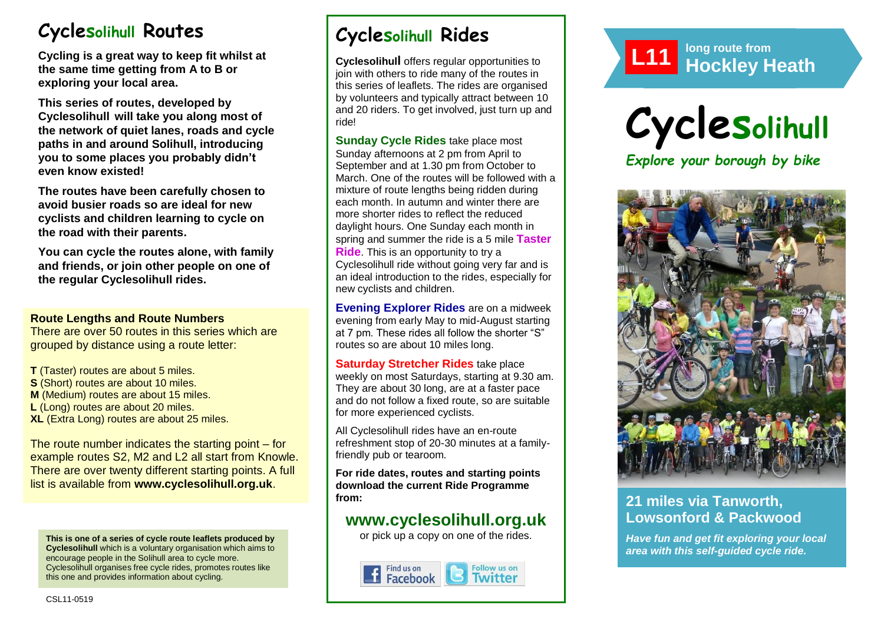# **Cyclesolihull Routes**

**Cycling is a great way to keep fit whilst at the same time getting from A to B or exploring your local area.** 

**This series of routes, developed by Cyclesolihull will take you along most of the network of quiet lanes, roads and cycle paths in and around Solihull, introducing you to some places you probably didn't even know existed!**

**The routes have been carefully chosen to avoid busier roads so are ideal for new cyclists and children learning to cycle on the road with their parents.** 

**You can cycle the routes alone, with family and friends, or join other people on one of the regular Cyclesolihull rides.**

### **Route Lengths and Route Numbers**

There are over 50 routes in this series which are grouped by distance using a route letter:

**T** (Taster) routes are about 5 miles. **S** (Short) routes are about 10 miles. **M** (Medium) routes are about 15 miles. **L** (Long) routes are about 20 miles. **XL** (Extra Long) routes are about 25 miles.

The route number indicates the starting point – for example routes S2, M2 and L2 all start from Knowle. There are over twenty different starting points. A full list is available from **www.cyclesolihull.org.uk**.

**This is one of a series of cycle route leaflets produced by Cyclesolihull** which is a voluntary organisation which aims to encourage people in the Solihull area to cycle more. Cyclesolihull organises free cycle rides, promotes routes like this one and provides information about cycling.

# **Cyclesolihull Rides**

**Cyclesolihull** offers regular opportunities to join with others to ride many of the routes in this series of leaflets. The rides are organised by volunteers and typically attract between 10 and 20 riders. To get involved, just turn up and ride!

**Sunday Cycle Rides** take place most Sunday afternoons at 2 pm from April to September and at 1.30 pm from October to March. One of the routes will be followed with a mixture of route lengths being ridden during each month. In autumn and winter there are more shorter rides to reflect the reduced daylight hours. One Sunday each month in spring and summer the ride is a 5 mile **Taster Ride**. This is an opportunity to try a Cyclesolihull ride without going very far and is an ideal introduction to the rides, especially for new cyclists and children.

**Evening Explorer Rides** are on a midweek evening from early May to mid-August starting at 7 pm. These rides all follow the shorter "S" routes so are about 10 miles long.

**Saturday Stretcher Rides** take place weekly on most Saturdays, starting at 9.30 am. They are about 30 long, are at a faster pace and do not follow a fixed route, so are suitable for more experienced cyclists.

All Cyclesolihull rides have an en-route refreshment stop of 20-30 minutes at a familyfriendly pub or tearoom.

**For ride dates, routes and starting points download the current Ride Programme from:** 

## **www.cyclesolihull.org.uk**

or pick up a copy on one of the rides.









## **21 miles via Tanworth, Lowsonford & Packwood**

*Have fun and get fit exploring your local area with this self-guided cycle ride.*